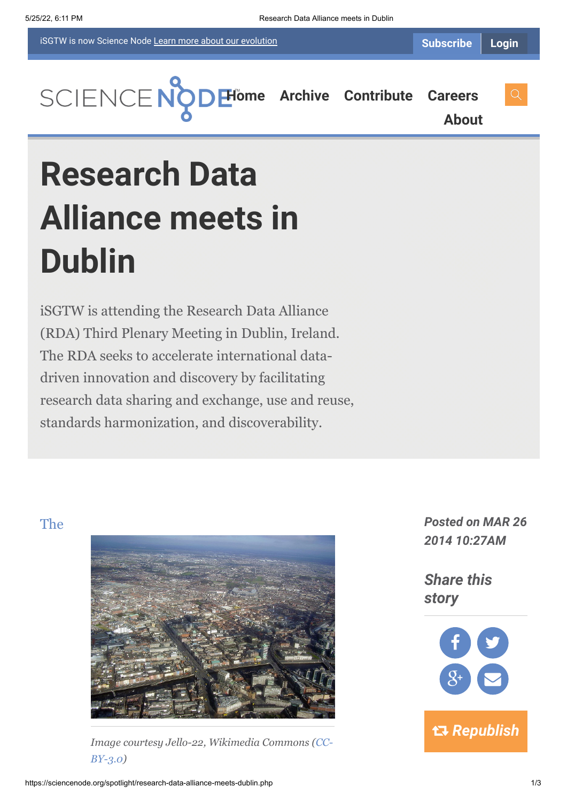iSGTW is now Science Node [Learn more about](https://sciencenode.org/about/index.php#history) our evolution



**[About](https://sciencenode.org/about/index.php)**

# **Research Data Alliance meets in Dublin**

iSGTW is attending the Research Data Alliance (RDA) Third Plenary Meeting in Dublin, Ireland. The RDA seeks to accelerate international datadriven innovation and discovery by facilitating research data sharing and exchange, use and reuse, standards harmonization, and discoverability.



*[I](https://rd-alliance.org/rda-third-plenary-meeting.html)[mage courtesy Jello-22, Wikimedia Commons \(CC-](http://creativecommons.org/licenses/by/3.0/deed.en)BY-3.0)*

The *Posted on MAR 26 2014 10:27AM*

> *Share this story*

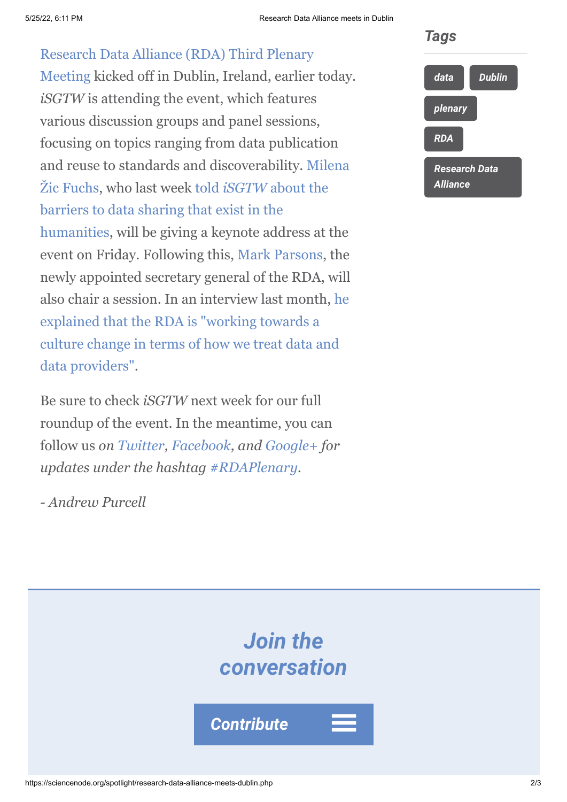#### 5/25/22, 6:11 PM Research Data Alliance meets in Dublin

# [Research Data Alliance \(RDA\) Third Plenary](https://rd-alliance.org/rda-third-plenary-meeting.html)

Meeting kicked off in Dublin, Ireland, earlier today. *iSGTW* is attending the event, which features various discussion groups and panel sessions, focusing on topics ranging from data publication [and reuse to standards and discoverability. Milena](https://www.rd-alliance.org/milena-%C5%BEic-fuchs.html) Žic Fuchs, who last week told *iSGTW* about the barriers to data sharing that exist in the [humanities, will be giving a keynote address at](http://www.isgtw.org/feature/digital-humanities-overcoming-barriers-data-sharing) the event on Friday. Following this, [Mark Parsons](https://rd-alliance.org/about/organization/key-profiles/mark-parsons.html), the newly appointed secretary general of the RDA, will [also chair a session. In an interview last month, he](http://www.isgtw.org/feature/data-without-borders-research-data-alliance) explained that the RDA is "working towards a culture change in terms of how we treat data and data providers".

Be sure to check *iSGTW* next week for our full roundup of the event. In the meantime, you can follow us *on [Twitter,](https://twitter.com/search?q=isgtw&src=typd) [Facebook](https://www.facebook.com/pages/International-Science-Grid-This-Week/141926395796), and [Google+](https://plus.google.com/100076081909774278210/posts) for updates under the hashtag [#RDAPlenary.](https://twitter.com/search?q=%23RDAPlenary&src=hash)*

*- Andrew Purcell*